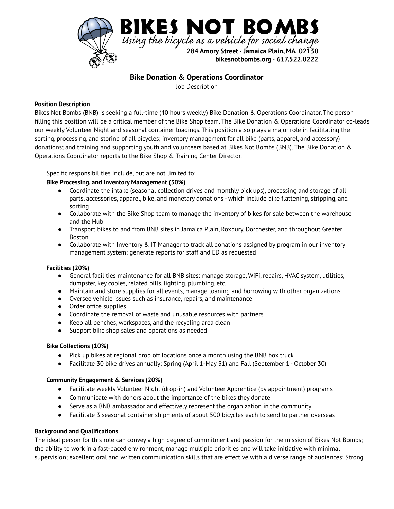

# **Bike Donation & Operations Coordinator**

Job Description

### **Position Description**

Bikes Not Bombs (BNB) is seeking a full-time (40 hours weekly) Bike Donation & Operations Coordinator. The person filling this position will be a critical member of the Bike Shop team. The Bike Donation & Operations Coordinator co-leads our weekly Volunteer Night and seasonal container loadings. This position also plays a major role in facilitating the sorting, processing, and storing of all bicycles; inventory management for all bike (parts, apparel, and accessory) donations; and training and supporting youth and volunteers based at Bikes Not Bombs (BNB). The Bike Donation & Operations Coordinator reports to the Bike Shop & Training Center Director.

Specific responsibilities include, but are not limited to:

## **Bike Processing, and Inventory Management (50%)**

- Coordinate the intake (seasonal collection drives and monthly pick ups), processing and storage of all parts, accessories, apparel, bike, and monetary donations - which include bike flattening, stripping, and sorting
- Collaborate with the Bike Shop team to manage the inventory of bikes for sale between the warehouse and the Hub
- Transport bikes to and from BNB sites in Jamaica Plain, Roxbury, Dorchester, and throughout Greater Boston
- Collaborate with Inventory & IT Manager to track all donations assigned by program in our inventory management system; generate reports for staff and ED as requested

#### **Facilities (20%)**

- General facilities maintenance for all BNB sites: manage storage, WiFi, repairs, HVAC system, utilities, dumpster, key copies, related bills, lighting, plumbing, etc.
- Maintain and store supplies for all events, manage loaning and borrowing with other organizations
- Oversee vehicle issues such as insurance, repairs, and maintenance
- Order office supplies
- Coordinate the removal of waste and unusable resources with partners
- Keep all benches, workspaces, and the recycling area clean
- Support bike shop sales and operations as needed

#### **Bike Collections (10%)**

- Pick up bikes at regional drop off locations once a month using the BNB box truck
- Facilitate 30 bike drives annually; Spring (April 1-May 31) and Fall (September 1 October 30)

#### **Community Engagement & Services (20%)**

- Facilitate weekly Volunteer Night (drop-in) and Volunteer Apprentice (by appointment) programs
- Communicate with donors about the importance of the bikes they donate
- Serve as a BNB ambassador and effectively represent the organization in the community
- Facilitate 3 seasonal container shipments of about 500 bicycles each to send to partner overseas

## **Background and Qualifications**

The ideal person for this role can convey a high degree of commitment and passion for the mission of Bikes Not Bombs; the ability to work in a fast-paced environment, manage multiple priorities and will take initiative with minimal supervision; excellent oral and written communication skills that are effective with a diverse range of audiences; Strong